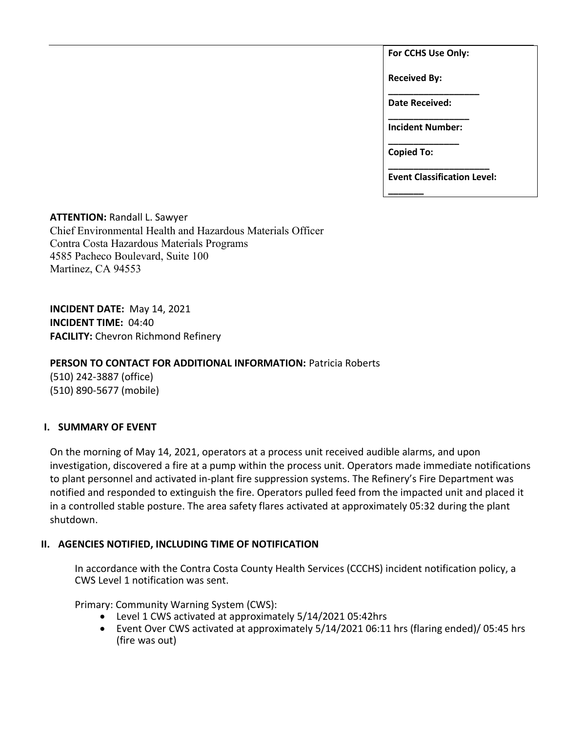**For CCHS Use Only:**

**Received By:** 

**\_\_\_\_\_\_\_\_\_\_\_\_\_\_\_\_\_\_ Date Received:** 

**\_\_\_\_\_\_\_\_\_\_\_\_\_\_\_\_ Incident Number: \_\_\_\_\_\_\_\_\_\_\_\_\_\_**

**Copied To:** 

**\_\_\_\_\_\_\_**

**\_\_\_\_\_\_\_\_\_\_\_\_\_\_\_\_\_\_\_\_ Event Classification Level:** 

**ATTENTION:** Randall L. Sawyer Chief Environmental Health and Hazardous Materials Officer Contra Costa Hazardous Materials Programs 4585 Pacheco Boulevard, Suite 100 Martinez, CA 94553

**INCIDENT DATE:** May 14, 2021 **INCIDENT TIME:** 04:40 **FACILITY:** Chevron Richmond Refinery

# **PERSON TO CONTACT FOR ADDITIONAL INFORMATION:** Patricia Roberts

(510) 242-3887 (office) (510) 890-5677 (mobile)

# **I. SUMMARY OF EVENT**

On the morning of May 14, 2021, operators at a process unit received audible alarms, and upon investigation, discovered a fire at a pump within the process unit. Operators made immediate notifications to plant personnel and activated in-plant fire suppression systems. The Refinery's Fire Department was notified and responded to extinguish the fire. Operators pulled feed from the impacted unit and placed it in a controlled stable posture. The area safety flares activated at approximately 05:32 during the plant shutdown.

## **II. AGENCIES NOTIFIED, INCLUDING TIME OF NOTIFICATION**

In accordance with the Contra Costa County Health Services (CCCHS) incident notification policy, a CWS Level 1 notification was sent.

Primary: Community Warning System (CWS):

- Level 1 CWS activated at approximately 5/14/2021 05:42hrs
- Event Over CWS activated at approximately 5/14/2021 06:11 hrs (flaring ended)/ 05:45 hrs (fire was out)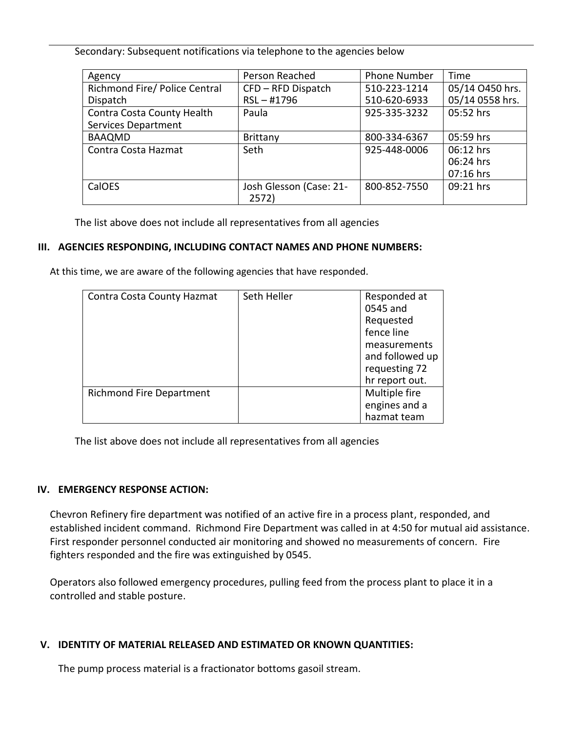Secondary: Subsequent notifications via telephone to the agencies below

| Agency                        | Person Reached          | <b>Phone Number</b> | Time            |
|-------------------------------|-------------------------|---------------------|-----------------|
| Richmond Fire/ Police Central | CFD - RFD Dispatch      | 510-223-1214        | 05/14 O450 hrs. |
| Dispatch                      | $RSL - #1796$           | 510-620-6933        | 05/14 0558 hrs. |
| Contra Costa County Health    | Paula                   | 925-335-3232        | 05:52 hrs       |
| <b>Services Department</b>    |                         |                     |                 |
| <b>BAAQMD</b>                 | Brittany                | 800-334-6367        | 05:59 hrs       |
| Contra Costa Hazmat           | Seth                    | 925-448-0006        | 06:12 hrs       |
|                               |                         |                     | 06:24 hrs       |
|                               |                         |                     | 07:16 hrs       |
| CalOES                        | Josh Glesson (Case: 21- | 800-852-7550        | 09:21 hrs       |
|                               | 2572)                   |                     |                 |

The list above does not include all representatives from all agencies

# **III. AGENCIES RESPONDING, INCLUDING CONTACT NAMES AND PHONE NUMBERS:**

At this time, we are aware of the following agencies that have responded.

| Contra Costa County Hazmat | Seth Heller | Responded at<br>0545 and<br>Requested                              |
|----------------------------|-------------|--------------------------------------------------------------------|
|                            |             | fence line                                                         |
|                            |             | measurements<br>and followed up<br>requesting 72<br>hr report out. |
| Richmond Fire Department   |             | Multiple fire                                                      |
|                            |             | engines and a                                                      |
|                            |             | hazmat team                                                        |

The list above does not include all representatives from all agencies

## **IV. EMERGENCY RESPONSE ACTION:**

Chevron Refinery fire department was notified of an active fire in a process plant, responded, and established incident command. Richmond Fire Department was called in at 4:50 for mutual aid assistance. First responder personnel conducted air monitoring and showed no measurements of concern. Fire fighters responded and the fire was extinguished by 0545.

Operators also followed emergency procedures, pulling feed from the process plant to place it in a controlled and stable posture.

## **V. IDENTITY OF MATERIAL RELEASED AND ESTIMATED OR KNOWN QUANTITIES:**

The pump process material is a fractionator bottoms gasoil stream.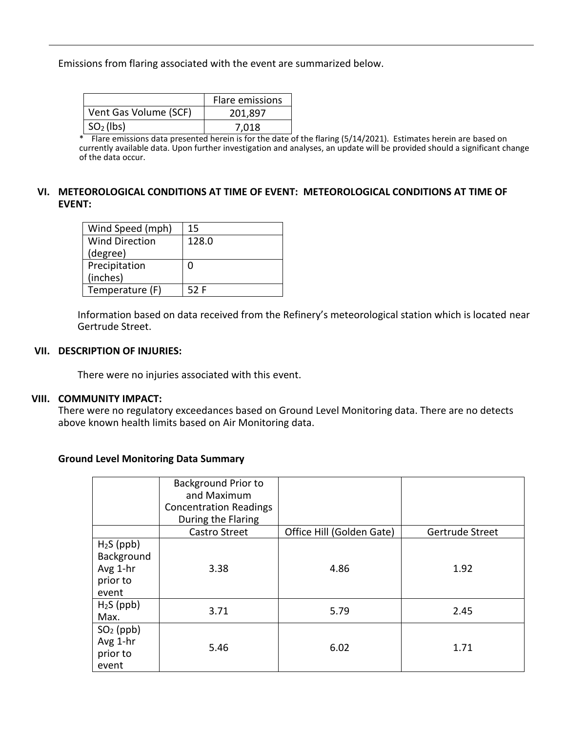Emissions from flaring associated with the event are summarized below.

|                       | Flare emissions |
|-----------------------|-----------------|
| Vent Gas Volume (SCF) | 201,897         |
| $SO2$ (lbs)           | 7.018           |

\* Flare emissions data presented herein is for the date of the flaring (5/14/2021). Estimates herein are based on currently available data. Upon further investigation and analyses, an update will be provided should a significant change of the data occur.

### **VI. METEOROLOGICAL CONDITIONS AT TIME OF EVENT: METEOROLOGICAL CONDITIONS AT TIME OF EVENT:**

| Wind Speed (mph)      | 15    |
|-----------------------|-------|
| <b>Wind Direction</b> | 128.0 |
| (degree)              |       |
| Precipitation         | 0     |
| (inches)              |       |
| Temperature (F)       | 52 F  |

Information based on data received from the Refinery's meteorological station which is located near Gertrude Street.

### **VII. DESCRIPTION OF INJURIES:**

There were no injuries associated with this event.

#### **VIII. COMMUNITY IMPACT:**

There were no regulatory exceedances based on Ground Level Monitoring data. There are no detects above known health limits based on Air Monitoring data.

#### **Ground Level Monitoring Data Summary**

|                                                            | <b>Background Prior to</b><br>and Maximum<br><b>Concentration Readings</b><br>During the Flaring |                           |                 |
|------------------------------------------------------------|--------------------------------------------------------------------------------------------------|---------------------------|-----------------|
|                                                            | Castro Street                                                                                    | Office Hill (Golden Gate) | Gertrude Street |
| $H2S$ (ppb)<br>Background<br>Avg 1-hr<br>prior to<br>event | 3.38                                                                                             | 4.86                      | 1.92            |
| $H2S$ (ppb)<br>Max.                                        | 3.71                                                                                             | 5.79                      | 2.45            |
| $SO2$ (ppb)<br>Avg 1-hr<br>prior to<br>event               | 5.46                                                                                             | 6.02                      | 1.71            |